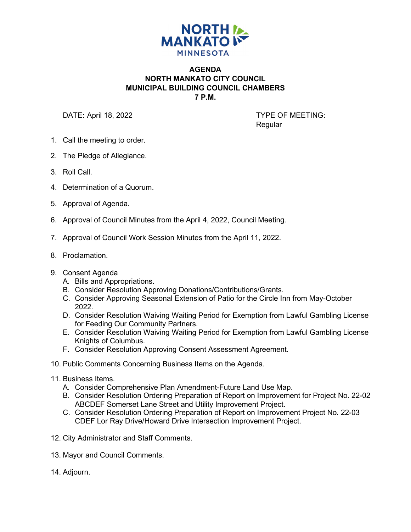

## **AGENDA NORTH MANKATO CITY COUNCIL MUNICIPAL BUILDING COUNCIL CHAMBERS 7 P.M.**

DATE: April 18, 2022 **TYPE OF MEETING:** 

Regular

- 1. Call the meeting to order.
- 2. The Pledge of Allegiance.
- 3. Roll Call.
- 4. Determination of a Quorum.
- 5. Approval of Agenda.
- 6. Approval of Council Minutes from the April 4, 2022, Council Meeting.
- 7. Approval of Council Work Session Minutes from the April 11, 2022.
- 8. Proclamation.
- 9. Consent Agenda
	- A. Bills and Appropriations.
	- B. Consider Resolution Approving Donations/Contributions/Grants.
	- C. Consider Approving Seasonal Extension of Patio for the Circle Inn from May-October 2022.
	- D. Consider Resolution Waiving Waiting Period for Exemption from Lawful Gambling License for Feeding Our Community Partners.
	- E. Consider Resolution Waiving Waiting Period for Exemption from Lawful Gambling License Knights of Columbus.
	- F. Consider Resolution Approving Consent Assessment Agreement.
- 10. Public Comments Concerning Business Items on the Agenda.
- 11. Business Items.
	- A. Consider Comprehensive Plan Amendment-Future Land Use Map.
	- B. Consider Resolution Ordering Preparation of Report on Improvement for Project No. 22-02 ABCDEF Somerset Lane Street and Utility Improvement Project.
	- C. Consider Resolution Ordering Preparation of Report on Improvement Project No. 22-03 CDEF Lor Ray Drive/Howard Drive Intersection Improvement Project.
- 12. City Administrator and Staff Comments.
- 13. Mayor and Council Comments.
- 14. Adjourn.